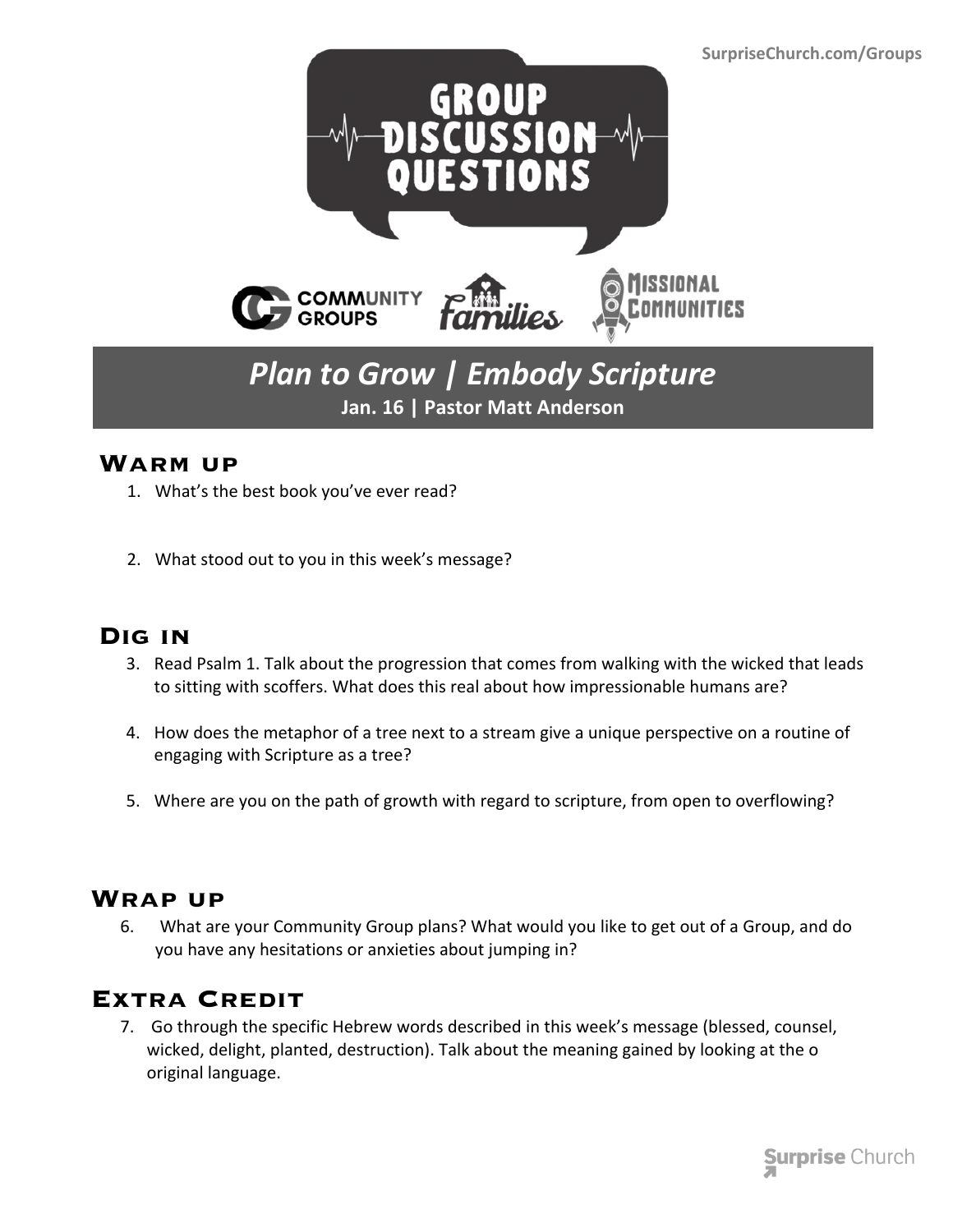

# *Plan to Grow | Embody Scripture* **Jan. 16 | Pastor Matt Anderson**

#### **Warm up**

- 1. What's the best book you've ever read?
- 2. What stood out to you in this week's message?

### **Dig in**

- 3. Read Psalm 1. Talk about the progression that comes from walking with the wicked that leads to sitting with scoffers. What does this real about how impressionable humans are?
- 4. How does the metaphor of a tree next to a stream give a unique perspective on a routine of engaging with Scripture as a tree?
- 5. Where are you on the path of growth with regard to scripture, from open to overflowing?

#### **Wrap up**

 6. What are your Community Group plans? What would you like to get out of a Group, and do you have any hesitations or anxieties about jumping in?

## **Extra Credit**

 7. Go through the specific Hebrew words described in this week's message (blessed, counsel, wicked, delight, planted, destruction). Talk about the meaning gained by looking at the o original language.